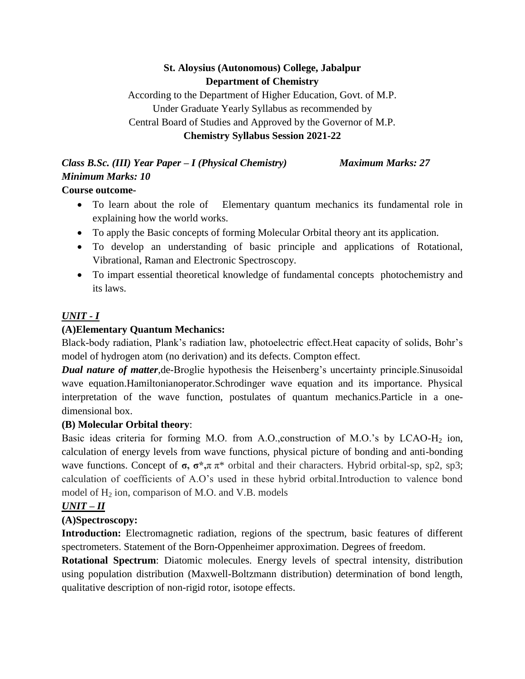# **St. Aloysius (Autonomous) College, Jabalpur Department of Chemistry**

According to the Department of Higher Education, Govt. of M.P. Under Graduate Yearly Syllabus as recommended by Central Board of Studies and Approved by the Governor of M.P.

#### **Chemistry Syllabus Session 2021-22**

# *Class B.Sc. (III) Year Paper – I (Physical Chemistry) Maximum Marks: 27 Minimum Marks: 10*

# **Course outcome-**

- To learn about the role of Elementary quantum mechanics its fundamental role in explaining how the world works.
- To apply the Basic concepts of forming Molecular Orbital theory ant its application.
- To develop an understanding of basic principle and applications of Rotational, Vibrational, Raman and Electronic Spectroscopy.
- To impart essential theoretical knowledge of fundamental concepts photochemistry and its laws.

# *UNIT - I*

# **(A)Elementary Quantum Mechanics:**

Black-body radiation, Plank's radiation law, photoelectric effect.Heat capacity of solids, Bohr's model of hydrogen atom (no derivation) and its defects. Compton effect.

*Dual nature of matter*, de-Broglie hypothesis the Heisenberg's uncertainty principle. Sinusoidal wave equation.Hamiltonianoperator.Schrodinger wave equation and its importance. Physical interpretation of the wave function, postulates of quantum mechanics.Particle in a onedimensional box.

#### **(B) Molecular Orbital theory**:

Basic ideas criteria for forming M.O. from A.O.,construction of M.O.'s by LCAO-H<sub>2</sub> ion, calculation of energy levels from wave functions, physical picture of bonding and anti-bonding wave functions. Concept of **σ, σ\*,**π π\* orbital and their characters. Hybrid orbital-sp, sp2, sp3; calculation of coefficients of A.O's used in these hybrid orbital.Introduction to valence bond model of  $H_2$  ion, comparison of M.O. and V.B. models

# *UNIT – II*

# **(A)Spectroscopy:**

**Introduction:** Electromagnetic radiation, regions of the spectrum, basic features of different spectrometers. Statement of the Born-Oppenheimer approximation. Degrees of freedom.

**Rotational Spectrum**: Diatomic molecules. Energy levels of spectral intensity, distribution using population distribution (Maxwell-Boltzmann distribution) determination of bond length, qualitative description of non-rigid rotor, isotope effects.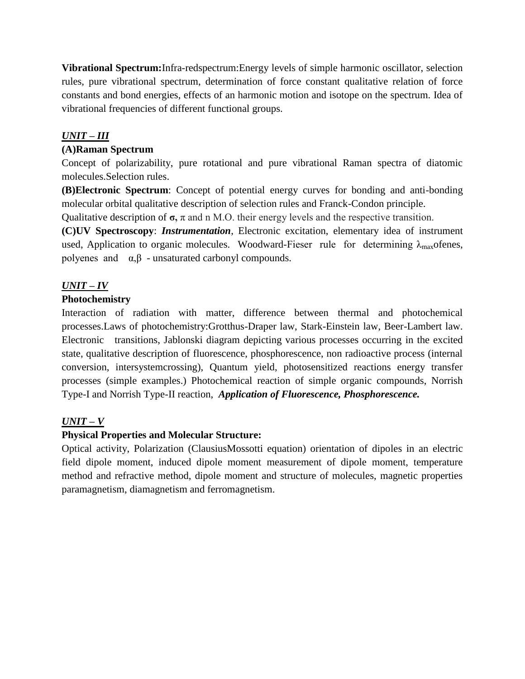**Vibrational Spectrum:**Infra-redspectrum:Energy levels of simple harmonic oscillator, selection rules, pure vibrational spectrum, determination of force constant qualitative relation of force constants and bond energies, effects of an harmonic motion and isotope on the spectrum. Idea of vibrational frequencies of different functional groups.

# *UNIT – III*

#### **(A)Raman Spectrum**

Concept of polarizability, pure rotational and pure vibrational Raman spectra of diatomic molecules.Selection rules.

**(B)Electronic Spectrum**: Concept of potential energy curves for bonding and anti-bonding molecular orbital qualitative description of selection rules and Franck-Condon principle.

Qualitative description of  $\sigma$ ,  $\pi$  and n M.O. their energy levels and the respective transition.

**(C)UV Spectroscopy**: *Instrumentation*, Electronic excitation, elementary idea of instrument used, Application to organic molecules. Woodward-Fieser rule for determining  $\lambda_{\text{max}}$ ofenes, polyenes and  $\alpha, \beta$  - unsaturated carbonyl compounds.

# *UNIT – IV*

# **Photochemistry**

Interaction of radiation with matter, difference between thermal and photochemical processes.Laws of photochemistry:Grotthus-Draper law, Stark-Einstein law, Beer-Lambert law. Electronic transitions, Jablonski diagram depicting various processes occurring in the excited state, qualitative description of fluorescence, phosphorescence, non radioactive process (internal conversion, intersystemcrossing), Quantum yield, photosensitized reactions energy transfer processes (simple examples.) Photochemical reaction of simple organic compounds, Norrish Type-I and Norrish Type-II reaction, *Application of Fluorescence, Phosphorescence.*

# *UNIT – V*

# **Physical Properties and Molecular Structure:**

Optical activity, Polarization (ClausiusMossotti equation) orientation of dipoles in an electric field dipole moment, induced dipole moment measurement of dipole moment, temperature method and refractive method, dipole moment and structure of molecules, magnetic properties paramagnetism, diamagnetism and ferromagnetism.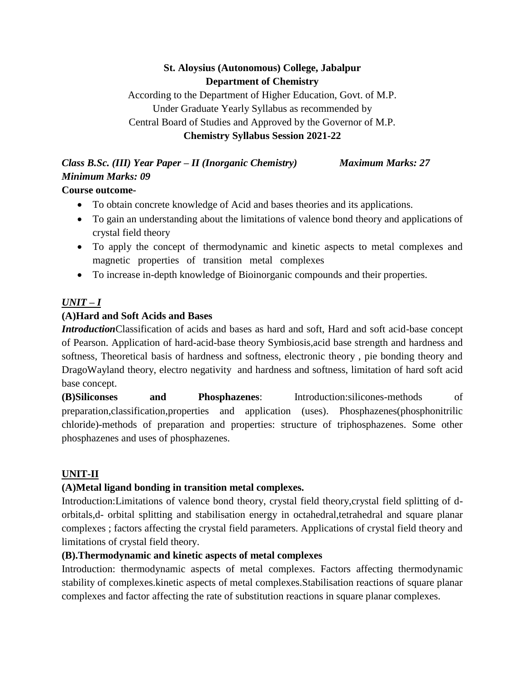# **St. Aloysius (Autonomous) College, Jabalpur Department of Chemistry**

According to the Department of Higher Education, Govt. of M.P. Under Graduate Yearly Syllabus as recommended by Central Board of Studies and Approved by the Governor of M.P. **Chemistry Syllabus Session 2021-22**

# *Class B.Sc. (III) Year Paper – II (Inorganic Chemistry) Maximum Marks: 27 Minimum Marks: 09*

# **Course outcome-**

- To obtain concrete knowledge of Acid and bases theories and its applications.
- To gain an understanding about the limitations of valence bond theory and applications of crystal field theory
- To apply the concept of thermodynamic and kinetic aspects to metal complexes and magnetic properties of transition metal complexes
- To increase in-depth knowledge of Bioinorganic compounds and their properties.

# *UNIT – I*

# **(A)Hard and Soft Acids and Bases**

*Introduction*Classification of acids and bases as hard and soft, Hard and soft acid-base concept of Pearson. Application of hard-acid-base theory Symbiosis,acid base strength and hardness and softness, Theoretical basis of hardness and softness, electronic theory , pie bonding theory and DragoWayland theory, electro negativity and hardness and softness, limitation of hard soft acid base concept.

**(B)Siliconses and Phosphazenes**: Introduction:silicones-methods of preparation,classification,properties and application (uses). Phosphazenes(phosphonitrilic chloride)-methods of preparation and properties: structure of triphosphazenes. Some other phosphazenes and uses of phosphazenes.

# **UNIT-II**

# **(A)Metal ligand bonding in transition metal complexes.**

Introduction:Limitations of valence bond theory, crystal field theory,crystal field splitting of dorbitals,d- orbital splitting and stabilisation energy in octahedral,tetrahedral and square planar complexes ; factors affecting the crystal field parameters. Applications of crystal field theory and limitations of crystal field theory.

# **(B).Thermodynamic and kinetic aspects of metal complexes**

Introduction: thermodynamic aspects of metal complexes. Factors affecting thermodynamic stability of complexes.kinetic aspects of metal complexes.Stabilisation reactions of square planar complexes and factor affecting the rate of substitution reactions in square planar complexes.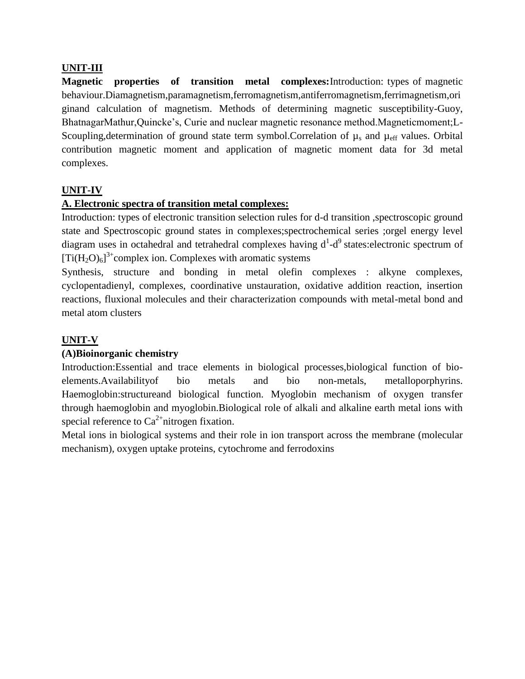#### **UNIT-III**

**Magnetic properties of transition metal complexes:**Introduction: types of magnetic behaviour.Diamagnetism,paramagnetism,ferromagnetism,antiferromagnetism,ferrimagnetism,ori ginand calculation of magnetism. Methods of determining magnetic susceptibility-Guoy, BhatnagarMathur,Quincke's, Curie and nuclear magnetic resonance method.Magneticmoment;L-Scoupling, determination of ground state term symbol. Correlation of  $\mu_s$  and  $\mu_{\text{eff}}$  values. Orbital contribution magnetic moment and application of magnetic moment data for 3d metal complexes.

#### **UNIT-IV**

#### **A. Electronic spectra of transition metal complexes:**

Introduction: types of electronic transition selection rules for d-d transition ,spectroscopic ground state and Spectroscopic ground states in complexes;spectrochemical series ;orgel energy level diagram uses in octahedral and tetrahedral complexes having  $d^1-d^9$  states: electronic spectrum of  $[Ti(H_2O)_6]^{3+}$ complex ion. Complexes with aromatic systems

Synthesis, structure and bonding in metal olefin complexes : alkyne complexes, cyclopentadienyl, complexes, coordinative unstauration, oxidative addition reaction, insertion reactions, fluxional molecules and their characterization compounds with metal-metal bond and metal atom clusters

# **UNIT-V**

#### **(A)Bioinorganic chemistry**

Introduction:Essential and trace elements in biological processes,biological function of bioelements.Availabilityof bio metals and bio non-metals, metalloporphyrins. Haemoglobin:structureand biological function. Myoglobin mechanism of oxygen transfer through haemoglobin and myoglobin.Biological role of alkali and alkaline earth metal ions with special reference to  $Ca^{2+}$ nitrogen fixation.

Metal ions in biological systems and their role in ion transport across the membrane (molecular mechanism), oxygen uptake proteins, cytochrome and ferrodoxins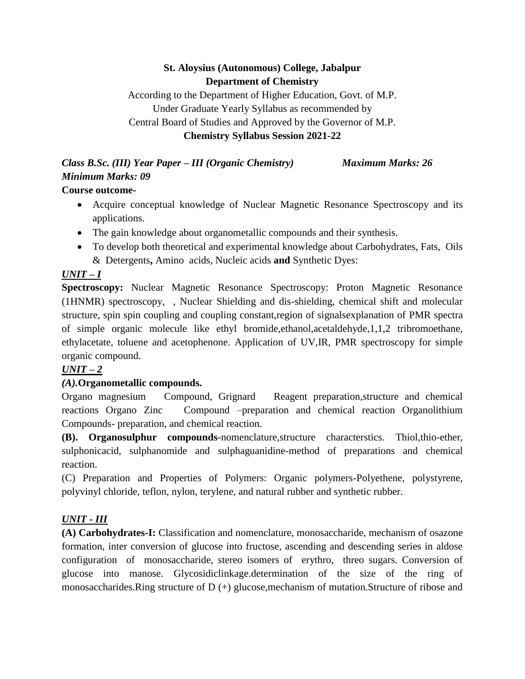# **St. Aloysius (Autonomous) College, Jabalpur Department of Chemistry**

According to the Department of Higher Education, Govt. of M.P. Under Graduate Yearly Syllabus as recommended by Central Board of Studies and Approved by the Governor of M.P.

#### **Chemistry Syllabus Session 2021-22**

*Class B.Sc. (III) Year Paper – III (Organic Chemistry) Maximum Marks: 26 Minimum Marks: 09*

#### **Course outcome-**

- Acquire conceptual knowledge of Nuclear Magnetic Resonance Spectroscopy and its applications.
- The gain knowledge about organometallic compounds and their synthesis.
- To develop both theoretical and experimental knowledge about Carbohydrates, Fats, Oils & Detergents**,** Amino acids, Nucleic acids **and** Synthetic Dyes:

# *UNIT – I*

**Spectroscopy:** Nuclear Magnetic Resonance Spectroscopy: Proton Magnetic Resonance (1HNMR) spectroscopy, , Nuclear Shielding and dis-shielding, chemical shift and molecular structure, spin spin coupling and coupling constant,region of signalsexplanation of PMR spectra of simple organic molecule like ethyl bromide,ethanol,acetaldehyde,1,1,2 tribromoethane, ethylacetate, toluene and acetophenone. Application of UV,IR, PMR spectroscopy for simple organic compound.

# *UNIT – 2*

# *(A).***Organometallic compounds.**

Organo magnesium Compound, Grignard Reagent preparation,structure and chemical reactions Organo Zinc Compound –preparation and chemical reaction Organolithium Compounds- preparation, and chemical reaction.

**(B). Organosulphur compounds**-nomenclature,structure characterstics. Thiol,thio-ether, sulphonicacid, sulphanomide and sulphaguanidine-method of preparations and chemical reaction.

(C) Preparation and Properties of Polymers: Organic polymers-Polyethene, polystyrene, polyvinyl chloride, teflon, nylon, terylene, and natural rubber and synthetic rubber.

# *UNIT - III*

**(A) Carbohydrates-I:** Classification and nomenclature, monosaccharide, mechanism of osazone formation, inter conversion of glucose into fructose, ascending and descending series in aldose configuration of monosaccharide, stereo isomers of erythro, threo sugars. Conversion of glucose into manose. Glycosidiclinkage.determination of the size of the ring of monosaccharides.Ring structure of D (+) glucose,mechanism of mutation.Structure of ribose and